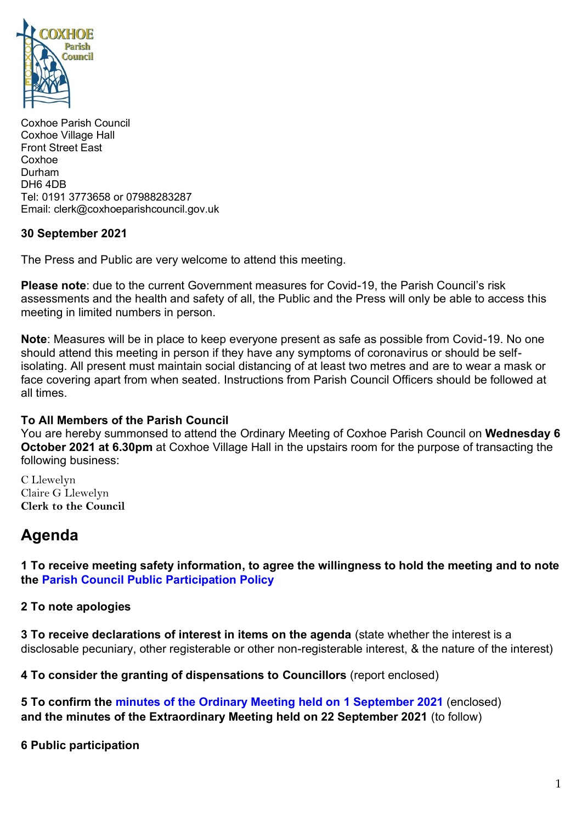

Coxhoe Parish Council Coxhoe Village Hall Front Street East Coxhoe Durham DH6 4DB Tel: 0191 3773658 or 07988283287 Email: clerk@coxhoeparishcouncil.gov.uk

# **30 September 2021**

The Press and Public are very welcome to attend this meeting.

**Please note**: due to the current Government measures for Covid-19, the Parish Council's risk assessments and the health and safety of all, the Public and the Press will only be able to access this meeting in limited numbers in person.

**Note**: Measures will be in place to keep everyone present as safe as possible from Covid-19. No one should attend this meeting in person if they have any symptoms of coronavirus or should be selfisolating. All present must maintain social distancing of at least two metres and are to wear a mask or face covering apart from when seated. Instructions from Parish Council Officers should be followed at all times.

# **To All Members of the Parish Council**

You are hereby summonsed to attend the Ordinary Meeting of Coxhoe Parish Council on **Wednesday 6 October 2021 at 6.30pm** at Coxhoe Village Hall in the upstairs room for the purpose of transacting the following business:

C Llewelyn Claire G Llewelyn **Clerk to the Council** 

# **Agenda**

**1 To receive meeting safety information, to agree the willingness to hold the meeting and to note the [Parish Council Public Participation Policy](http://coxhoeparishcouncil.gov.uk/important-documents-and-policies/public-participation-policy-fmarch-2020-review-date-march-2022/)**

# **2 To note apologies**

**3 To receive declarations of interest in items on the agenda** (state whether the interest is a disclosable pecuniary, other registerable or other non-registerable interest, & the nature of the interest)

**4 To consider the granting of dispensations to Councillors** (report enclosed)

**5 To confirm the [minutes of the Ordinary Meeting held on 1 September](https://1drv.ms/b/s!Alg_TKmu7xwUgcdUcHk4uavtrCoE8g?e=bvPMPc) 2021** (enclosed) **and the minutes of the Extraordinary Meeting held on 22 September 2021** (to follow)

**6 Public participation**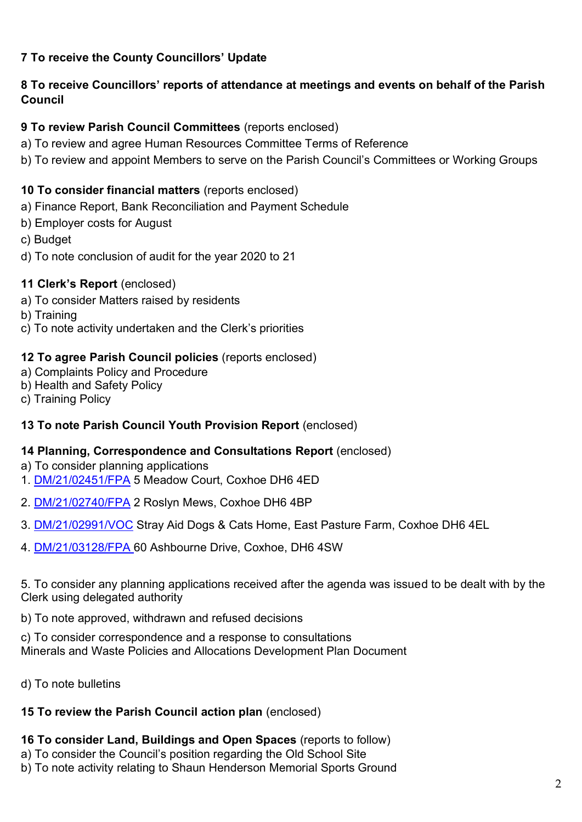# **7 To receive the County Councillors' Update**

# **8 To receive Councillors' reports of attendance at meetings and events on behalf of the Parish Council**

# **9 To review Parish Council Committees** (reports enclosed)

- a) To review and agree Human Resources Committee Terms of Reference
- b) To review and appoint Members to serve on the Parish Council's Committees or Working Groups

# **10 To consider financial matters** (reports enclosed)

- a) Finance Report, Bank Reconciliation and Payment Schedule
- b) Employer costs for August
- c) Budget
- d) To note conclusion of audit for the year 2020 to 21

#### **11 Clerk's Report** (enclosed)

- a) To consider Matters raised by residents
- b) Training
- c) To note activity undertaken and the Clerk's priorities

#### **12 To agree Parish Council policies** (reports enclosed)

- a) Complaints Policy and Procedure
- b) Health and Safety Policy
- c) Training Policy

# **13 To note Parish Council Youth Provision Report** (enclosed)

# **14 Planning, Correspondence and Consultations Report** (enclosed)

- a) To consider planning applications
- 1. [DM/21/02451/FPA](https://publicaccess.durham.gov.uk/online-applications/applicationDetails.do?activeTab=documents&keyVal=QVV3F8GDH2900) 5 Meadow Court, Coxhoe DH6 4ED
- 2. [DM/21/02740/FPA](https://publicaccess.durham.gov.uk/online-applications/applicationDetails.do?activeTab=documents&keyVal=QX2B0BGDHIT00) 2 Roslyn Mews, Coxhoe DH6 4BP
- 3. [DM/21/02991/VOC](https://publicaccess.durham.gov.uk/online-applications/applicationDetails.do?activeTab=documents&keyVal=QYCAJWGDHWO00) Stray Aid Dogs & Cats Home, East Pasture Farm, Coxhoe DH6 4EL
- 4. [DM/21/03128/FPA](https://publicaccess.durham.gov.uk/online-applications/applicationDetails.do?activeTab=summary&keyVal=QZ3RG0GDI5000) 60 Ashbourne Drive, Coxhoe, DH6 4SW

5. To consider any planning applications received after the agenda was issued to be dealt with by the Clerk using delegated authority

b) To note approved, withdrawn and refused decisions

c) To consider correspondence and a response to consultations Minerals and Waste Policies and Allocations Development Plan Document

d) To note bulletins

# **15 To review the Parish Council action plan** (enclosed)

# **16 To consider Land, Buildings and Open Spaces** (reports to follow)

- a) To consider the Council's position regarding the Old School Site
- b) To note activity relating to Shaun Henderson Memorial Sports Ground